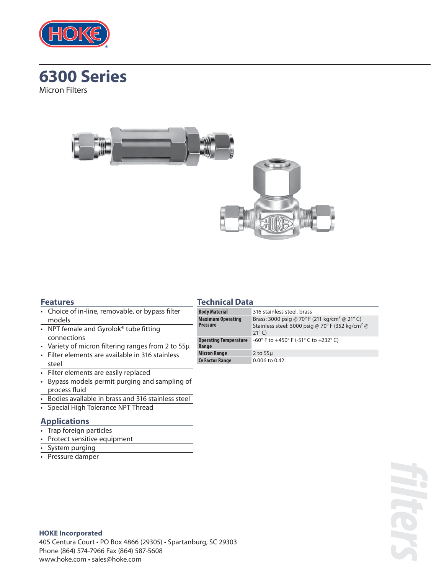





#### **Features**

#### **Technical Data**

- NPT female and Gyrolok<sup>®</sup> tube fitting connections
- Variety of micron filtering ranges from 2 to 55µ
- Filter elements are available in 316 stainless steel
- Filter elements are easily replaced
- Bypass models permit purging and sampling of process fluid
- Bodies available in brass and 316 stainless steel
- Special High Tolerance NPT Thread

## **Applications**

- Trap foreign particles
- Protect sensitive equipment
- System purging
- Pressure damper

| <b>Body Material</b>                        | 316 stainless steel, brass                                                                                                                   |  |  |
|---------------------------------------------|----------------------------------------------------------------------------------------------------------------------------------------------|--|--|
| <b>Maximum Operating</b><br><b>Pressure</b> | Brass: 3000 psig @ 70° F (211 kg/cm <sup>2</sup> @ 21° C)<br>Stainless steel: 5000 psig @ 70° F (352 kg/cm <sup>2</sup> @<br>$21^{\circ}$ C) |  |  |
| <b>Operating Temperature</b><br>Range       | -60° F to +450° F (-51° C to +232° C)                                                                                                        |  |  |
| <b>Micron Range</b>                         | 2 to $55\mu$                                                                                                                                 |  |  |
| <b>Cv Factor Range</b>                      | 0.006 to 0.42                                                                                                                                |  |  |